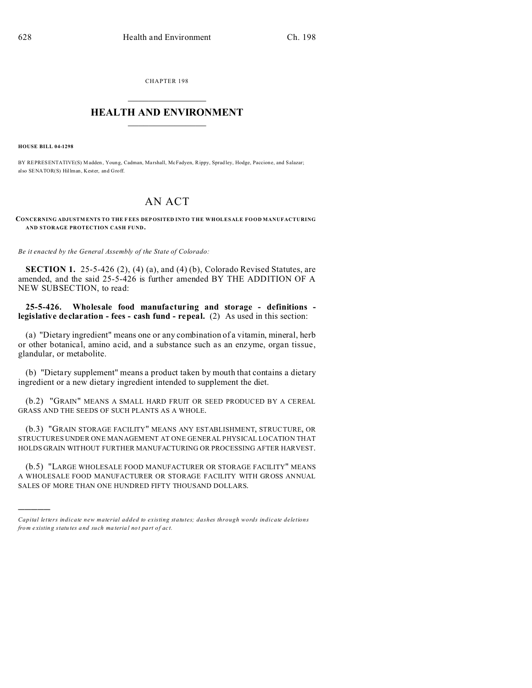CHAPTER 198  $\overline{\phantom{a}}$  , where  $\overline{\phantom{a}}$ 

## **HEALTH AND ENVIRONMENT**  $\_$   $\_$   $\_$   $\_$   $\_$   $\_$   $\_$   $\_$

**HOUSE BILL 04-1298**

)))))

BY REPRESENTATIVE(S) Madden, Young, Cadman, Marshall, McFadyen, Rippy, Spradley, Hodge, Paccione, and Salazar; also SENATOR(S) Hillman, Kester, and Groff.

## AN ACT

**CONCERNING ADJUSTM ENTS TO THE F EES DEP OSITED INTO THE WHOLESALE FOOD MANUFACTURING AND STORAGE PROTECTION CASH FUND.**

*Be it enacted by the General Assembly of the State of Colorado:*

**SECTION 1.** 25-5-426 (2), (4) (a), and (4) (b), Colorado Revised Statutes, are amended, and the said 25-5-426 is further amended BY THE ADDITION OF A NEW SUBSECTION, to read:

**25-5-426. Wholesale food manufacturing and storage - definitions legislative declaration - fees - cash fund - repeal.** (2) As used in this section:

(a) "Dietary ingredient" means one or any combination of a vitamin, mineral, herb or other botanical, amino acid, and a substance such as an enzyme, organ tissue, glandular, or metabolite.

(b) "Dietary supplement" means a product taken by mouth that contains a dietary ingredient or a new dietary ingredient intended to supplement the diet.

(b.2) "GRAIN" MEANS A SMALL HARD FRUIT OR SEED PRODUCED BY A CEREAL GRASS AND THE SEEDS OF SUCH PLANTS AS A WHOLE.

(b.3) "GRAIN STORAGE FACILITY" MEANS ANY ESTABLISHMENT, STRUCTURE, OR STRUCTURES UNDER ONE MANAGEMENT AT ONE GENERAL PHYSICAL LOCATION THAT HOLDS GRAIN WITHOUT FURTHER MANUFACTURING OR PROCESSING AFTER HARVEST.

(b.5) "LARGE WHOLESALE FOOD MANUFACTURER OR STORAGE FACILITY" MEANS A WHOLESALE FOOD MANUFACTURER OR STORAGE FACILITY WITH GROSS ANNUAL SALES OF MORE THAN ONE HUNDRED FIFTY THOUSAND DOLLARS.

*Capital letters indicate new material added to existing statutes; dashes through words indicate deletions from e xistin g statu tes a nd such ma teria l no t pa rt of ac t.*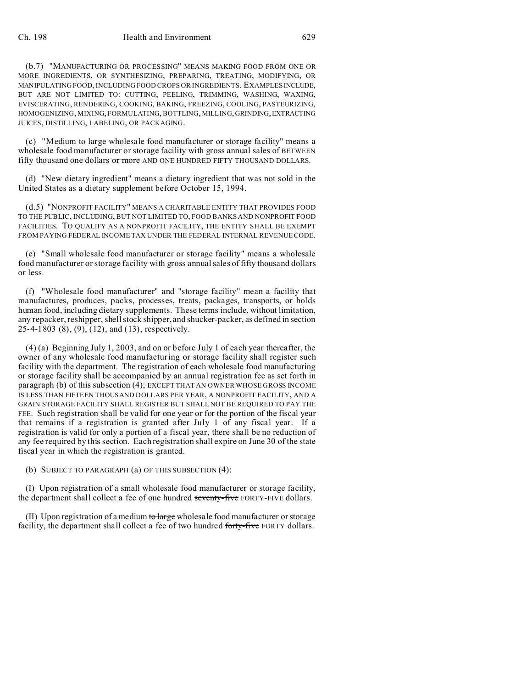(b.7) "MANUFACTURING OR PROCESSING" MEANS MAKING FOOD FROM ONE OR MORE INGREDIENTS, OR SYNTHESIZING, PREPARING, TREATING, MODIFYING, OR MANIPULATING FOOD, INCLUDING FOOD CROPS OR INGREDIENTS. EXAMPLESINCLUDE, BUT ARE NOT LIMITED TO: CUTTING, PEELING, TRIMMING, WASHING, WAXING, EVISCERATING, RENDERING, COOKING, BAKING, FREEZING, COOLING, PASTEURIZING, HOMOGENIZING, MIXING, FORMULATING, BOTTLING, MILLING,GRINDING,EXTRACTING JUICES, DISTILLING, LABELING, OR PACKAGING.

(c) "Medium to large wholesale food manufacturer or storage facility" means a wholesale food manufacturer or storage facility with gross annual sales of BETWEEN fifty thousand one dollars or more AND ONE HUNDRED FIFTY THOUSAND DOLLARS.

(d) "New dietary ingredient" means a dietary ingredient that was not sold in the United States as a dietary supplement before October 15, 1994.

(d.5) "NONPROFIT FACILITY" MEANS A CHARITABLE ENTITY THAT PROVIDES FOOD TO THE PUBLIC, INCLUDING, BUT NOT LIMITED TO, FOOD BANKS AND NONPROFIT FOOD FACILITIES. TO QUALIFY AS A NONPROFIT FACILITY, THE ENTITY SHALL BE EXEMPT FROM PAYING FEDERAL INCOME TAX UNDER THE FEDERAL INTERNAL REVENUE CODE.

(e) "Small wholesale food manufacturer or storage facility" means a wholesale food manufacturer or storage facility with gross annual sales of fifty thousand dollars or less.

(f) "Wholesale food manufacturer" and "storage facility" mean a facility that manufactures, produces, packs, processes, treats, packages, transports, or holds human food, including dietary supplements. These terms include, without limitation, any repacker, reshipper, shell stock shipper, and shucker-packer, as defined in section 25-4-1803 (8), (9), (12), and (13), respectively.

(4) (a) Beginning July 1, 2003, and on or before July 1 of each year thereafter, the owner of any wholesale food manufacturing or storage facility shall register such facility with the department. The registration of each wholesale food manufacturing or storage facility shall be accompanied by an annual registration fee as set forth in paragraph (b) of this subsection (4); EXCEPT THAT AN OWNER WHOSE GROSS INCOME IS LESS THAN FIFTEEN THOUSAND DOLLARS PER YEAR, A NONPROFIT FACILITY, AND A GRAIN STORAGE FACILITY SHALL REGISTER BUT SHALL NOT BE REQUIRED TO PAY THE FEE. Such registration shall be valid for one year or for the portion of the fiscal year that remains if a registration is granted after July 1 of any fiscal year. If a registration is valid for only a portion of a fiscal year, there shall be no reduction of any fee required by this section. Each registration shall expire on June 30 of the state fiscal year in which the registration is granted.

(b) SUBJECT TO PARAGRAPH (a) OF THIS SUBSECTION (4):

(I) Upon registration of a small wholesale food manufacturer or storage facility, the department shall collect a fee of one hundred seventy-five FORTY-FIVE dollars.

(II) Upon registration of a medium to large wholesale food manufacturer or storage facility, the department shall collect a fee of two hundred forty-five FORTY dollars.